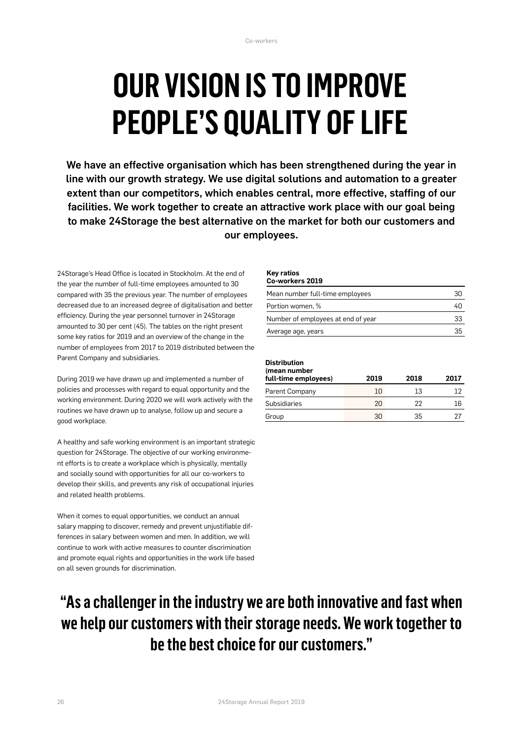# **OUR VISION IS TO IMPROVE PEOPLE'S QUALITY OF LIFE**

We have an effective organisation which has been strengthened during the year in line with our growth strategy. We use digital solutions and automation to a greater extent than our competitors, which enables central, more effective, staffing of our facilities. We work together to create an attractive work place with our goal being to make 24Storage the best alternative on the market for both our customers and our employees.

24Storage's Head Office is located in Stockholm. At the end of the year the number of full-time employees amounted to 30 compared with 35 the previous year. The number of employees decreased due to an increased degree of digitalisation and better efficiency. During the year personnel turnover in 24Storage amounted to 30 per cent (45). The tables on the right present some key ratios for 2019 and an overview of the change in the number of employees from 2017 to 2019 distributed between the Parent Company and subsidiaries.

During 2019 we have drawn up and implemented a number of policies and processes with regard to equal opportunity and the working environment. During 2020 we will work actively with the routines we have drawn up to analyse, follow up and secure a good workplace.

A healthy and safe working environment is an important strategic question for 24Storage. The objective of our working environment efforts is to create a workplace which is physically, mentally and socially sound with opportunities for all our co-workers to develop their skills, and prevents any risk of occupational injuries and related health problems.

When it comes to equal opportunities, we conduct an annual salary mapping to discover, remedy and prevent unjustifiable differences in salary between women and men. In addition, we will continue to work with active measures to counter discrimination and promote equal rights and opportunities in the work life based on all seven grounds for discrimination.

#### **Key ratios Co-workers 2019**

| <u>UU-WUI NEI 3 ZUI J</u>          |    |
|------------------------------------|----|
| Mean number full-time employees    | 30 |
| Portion women, %                   | 40 |
| Number of employees at end of year | 33 |
| Average age, years                 | 35 |
|                                    |    |

### **Distribution**

| (mean number<br>full-time employees) | 2019 | 2018 | 2017 |
|--------------------------------------|------|------|------|
| Parent Company                       | 10   | 13   |      |
| Subsidiaries                         | 20   | フフ   | 16   |
| Group                                | 30   | 35   |      |

## **"As a challenger in the industry we are both innovative and fast when we help our customers with their storage needs. We work together to be the best choice for our customers."**